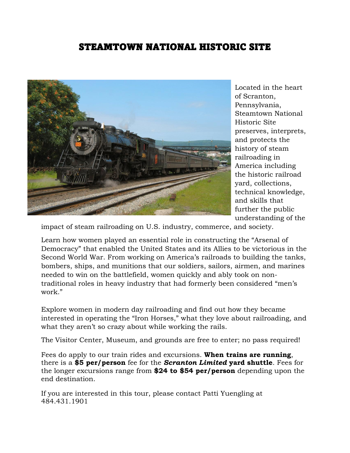## STEAMTOWN NATIONAL HISTORIC SITE



Located in the heart of Scranton, Pennsylvania, Steamtown National Historic Site preserves, interprets, and protects the history of steam railroading in America including the historic railroad yard, collections, technical knowledge, and skills that further the public understanding of the

impact of steam railroading on U.S. industry, commerce, and society.

Learn how women played an essential role in constructing the "Arsenal of Democracy" that enabled the United States and its Allies to be victorious in the Second World War. From working on America's railroads to building the tanks, bombers, ships, and munitions that our soldiers, sailors, airmen, and marines needed to win on the battlefield, women quickly and ably took on nontraditional roles in heavy industry that had formerly been considered "men's work."

Explore women in modern day railroading and find out how they became interested in operating the "Iron Horses," what they love about railroading, and what they aren't so crazy about while working the rails.

The Visitor Center, Museum, and grounds are free to enter; no pass required!

Fees do apply to our train rides and excursions. **When trains are running**, there is a **\$5 per/person** fee for the *Scranton Limited* **yard shuttle**. Fees for the longer excursions range from **\$24 to \$54 per/person** depending upon the end destination.

If you are interested in this tour, please contact Patti Yuengling at 484.431.1901